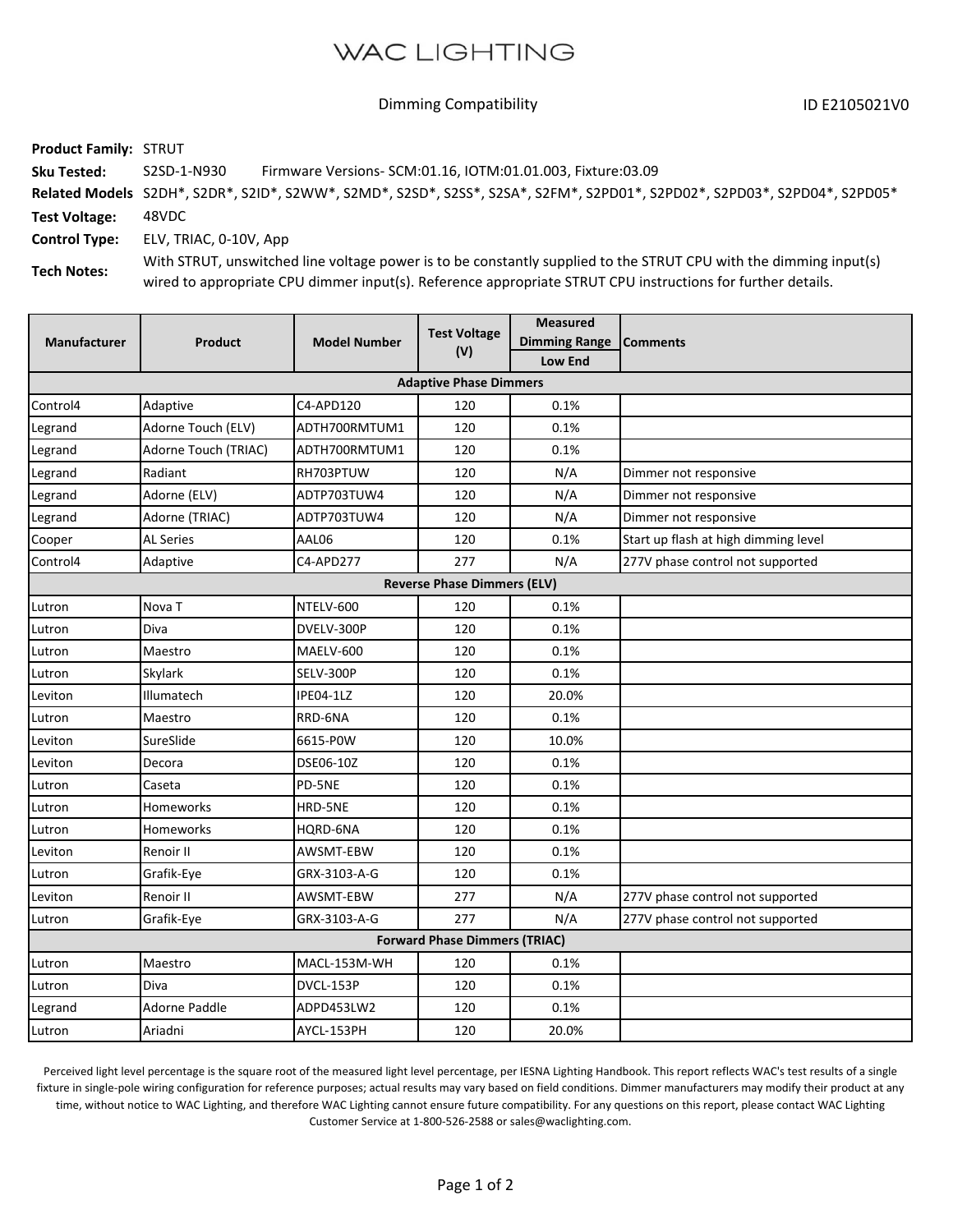## **WAC LIGHTING**

ID E2105021V0 Dimming Compatibility

**Product Family:** STRUT **Sku Tested: Related Models** S2DH\*, S2DR\*, S2ID\*, S2WW\*, S2MD\*, S2SD\*, S2SS\*, S2SA\*, S2FM\*, S2PD01\*, S2PD02\*, S2PD03\*, S2PD04\*, S2PD05\* **Test Voltage: Control Type: Tech Notes:** 48VDC ELV, TRIAC, 0‐10V, App With STRUT, unswitched line voltage power is to be constantly supplied to the STRUT CPU with the dimming input(s) wired to appropriate CPU dimmer input(s). Reference appropriate STRUT CPU instructions for further details. S2SD‐1‐N930 Firmware Versions‐ SCM:01.16, IOTM:01.01.003, Fixture:03.09

| <b>Manufacturer</b>                  | <b>Product</b>       | <b>Model Number</b> | <b>Test Voltage</b><br>(V) | <b>Measured</b><br><b>Dimming Range</b><br>Low End | <b>Comments</b>                      |  |  |  |  |
|--------------------------------------|----------------------|---------------------|----------------------------|----------------------------------------------------|--------------------------------------|--|--|--|--|
| <b>Adaptive Phase Dimmers</b>        |                      |                     |                            |                                                    |                                      |  |  |  |  |
| Control4                             | Adaptive             | C4-APD120           | 120                        | 0.1%                                               |                                      |  |  |  |  |
| Legrand                              | Adorne Touch (ELV)   | ADTH700RMTUM1       | 120                        | 0.1%                                               |                                      |  |  |  |  |
| Legrand                              | Adorne Touch (TRIAC) | ADTH700RMTUM1       | 120                        | 0.1%                                               |                                      |  |  |  |  |
| Legrand                              | Radiant              | RH703PTUW           | 120                        | N/A                                                | Dimmer not responsive                |  |  |  |  |
| Legrand                              | Adorne (ELV)         | ADTP703TUW4         | 120                        | N/A                                                | Dimmer not responsive                |  |  |  |  |
| Legrand                              | Adorne (TRIAC)       | ADTP703TUW4         | 120                        | N/A                                                | Dimmer not responsive                |  |  |  |  |
| Cooper                               | <b>AL Series</b>     | AAL06               | 120                        | 0.1%                                               | Start up flash at high dimming level |  |  |  |  |
| Control4                             | Adaptive             | C4-APD277           | 277                        | N/A                                                | 277V phase control not supported     |  |  |  |  |
| <b>Reverse Phase Dimmers (ELV)</b>   |                      |                     |                            |                                                    |                                      |  |  |  |  |
| Lutron                               | Nova T               | NTELV-600           | 120                        | 0.1%                                               |                                      |  |  |  |  |
| Lutron                               | Diva                 | DVELV-300P          | 120                        | 0.1%                                               |                                      |  |  |  |  |
| Lutron                               | Maestro              | MAELV-600           | 120                        | 0.1%                                               |                                      |  |  |  |  |
| Lutron                               | Skylark              | SELV-300P           | 120                        | 0.1%                                               |                                      |  |  |  |  |
| Leviton                              | Illumatech           | IPE04-1LZ           | 120                        | 20.0%                                              |                                      |  |  |  |  |
| Lutron                               | Maestro              | RRD-6NA             | 120                        | 0.1%                                               |                                      |  |  |  |  |
| Leviton                              | SureSlide            | 6615-P0W            | 120                        | 10.0%                                              |                                      |  |  |  |  |
| Leviton                              | Decora               | DSE06-10Z           | 120                        | 0.1%                                               |                                      |  |  |  |  |
| Lutron                               | Caseta               | PD-5NE              | 120                        | 0.1%                                               |                                      |  |  |  |  |
| Lutron                               | Homeworks            | HRD-5NE             | 120                        | 0.1%                                               |                                      |  |  |  |  |
| Lutron                               | Homeworks            | HORD-6NA            | 120                        | 0.1%                                               |                                      |  |  |  |  |
| Leviton                              | Renoir II            | AWSMT-EBW           | 120                        | 0.1%                                               |                                      |  |  |  |  |
| Lutron                               | Grafik-Eye           | GRX-3103-A-G        | 120                        | 0.1%                                               |                                      |  |  |  |  |
| Leviton                              | Renoir II            | AWSMT-EBW           | 277                        | N/A                                                | 277V phase control not supported     |  |  |  |  |
| Lutron                               | Grafik-Eye           | GRX-3103-A-G        | 277                        | N/A                                                | 277V phase control not supported     |  |  |  |  |
| <b>Forward Phase Dimmers (TRIAC)</b> |                      |                     |                            |                                                    |                                      |  |  |  |  |
| Lutron                               | Maestro              | MACL-153M-WH        | 120                        | 0.1%                                               |                                      |  |  |  |  |
| Lutron                               | Diva                 | DVCL-153P           | 120                        | 0.1%                                               |                                      |  |  |  |  |
| Legrand                              | Adorne Paddle        | ADPD453LW2          | 120                        | 0.1%                                               |                                      |  |  |  |  |
| Lutron                               | Ariadni              | AYCL-153PH          | 120                        | 20.0%                                              |                                      |  |  |  |  |

Perceived light level percentage is the square root of the measured light level percentage, per IESNA Lighting Handbook. This report reflects WAC's test results of a single fixture in single-pole wiring configuration for reference purposes; actual results may vary based on field conditions. Dimmer manufacturers may modify their product at any time, without notice to WAC Lighting, and therefore WAC Lighting cannot ensure future compatibility. For any questions on this report, please contact WAC Lighting Customer Service at 1‐800‐526‐2588 or sales@waclighting.com.